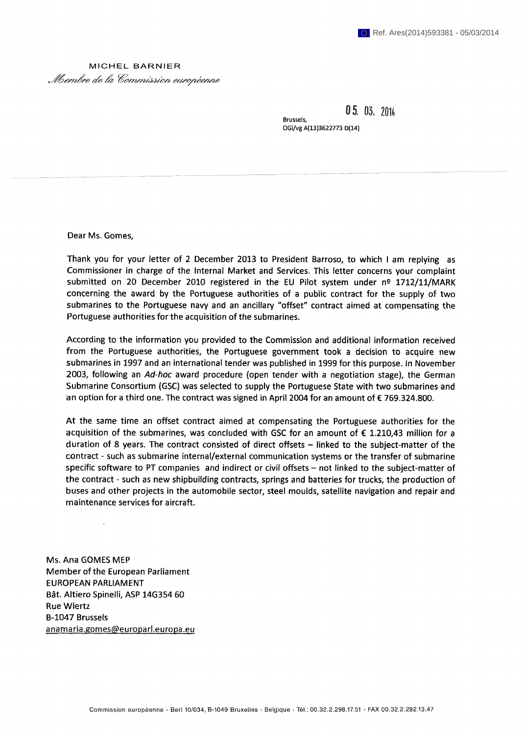## MICHEL BARNIER *Abembre de la Commission européenne*

 $05.03.201$ 

**OGi/vg A(13)3622773 D(14)** 

**Brussels,** 

**Dear Ms. Gomes,** 

**Thank you for your letter of 2 December 2013 to President Barroso, to which I am replying as Commissioner in charge of the Internal Market and Services. This letter concerns your complaint submitted on 20 December 2010 registered in the EU Pilot system under n^ 1712/11/MARK concerning the award by the Portuguese authorities of a public contract for the supply of two submarines to the Portuguese navy and an ancillary "offset" contract aimed at compensating the Portuguese authorities for the acquisition of the submarines.** 

**According to the information you provided to the Commission and additional information received from the Portuguese authorities, the Portuguese government took a decision to acquire new submarines in 1997 and an international tender was published in 1999 for this purpose. In November 2003, following an** *Ad-hoc* **award procedure (open tender with a negotiation stage), the German Submarine Consortium (GSC) was selected to supply the Portuguese State with two submarines and an option for a third one. The contract was signed in April 2004 for an amount of € 769.324.800.** 

**At the same time an offset contract aimed at compensating the Portuguese authorities for the acquisition of the submarines, was concluded with GSC for an amount of € 1.210,43 million for a**  duration of 8 years. The contract consisted of direct offsets - linked to the subject-matter of the **contract - such as submarine internal/external communication systems or the transfer of submarine**  specific software to PT companies and indirect or civil offsets - not linked to the subject-matter of **the contract - such as new shipbuilding contracts, springs and batteries for trucks, the production of buses and other projects in the automobile sector, steel moulds, satellite navigation and repair and maintenance services for aircraft.** 

**Ms. Ana GOMES MEP Member of the European Parliament EUROPEAN PARLIAMENT Bât. Altiero Spinelli, ASP 14G354 60 Rue Wiertz B-1047 Brussels**  anamaria.gomes@europarl.europa.eu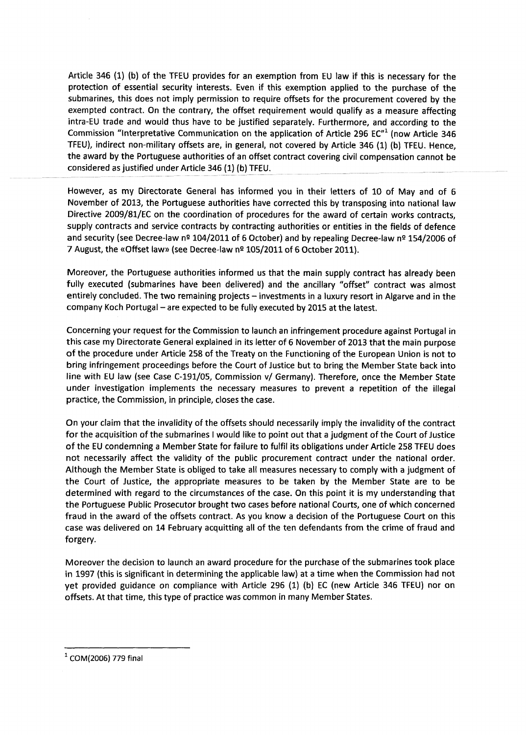**Article 346 (1) (b) of the TFEU provides for an exemption from EU law if this is necessary for the protection of essential security interests. Even if this exemption applied to the purchase of the submarines, this does not imply permission to require offsets for the procurement covered by the exempted contract. On the contrary, the offset requirement would qualify as a measure affecting intra-EU trade and would thus have to be justified separately. Furthermore, and according to the Commission "Interpretative Communication on the application of Article 296 EC"1 (now Article 346 TFEU), indirect non-military offsets are, in general, not covered by Article 346 (1) (b) TFEU. Hence, the award by the Portuguese authorities of an offset contract covering civil compensation cannot be considered as justified under Article 346 (1) (b) TFEU.** 

**However, as my Directorate General has informed you in their letters of 10 of May and of 6 November of 2013, the Portuguese authorities have corrected this by transposing into national law Directive 2009/81/EC on the coordination of procedures for the award of certain works contracts, supply contracts and service contracts by contracting authorities or entities in the fields of defence and security (see Decree-law n <sup>s</sup>104/2011 of 6 October) and by repealing Decree-law n <sup>s</sup>154/2006 of 7 August, the «Offset law» (see Decree-law n^ 105/2011 of 6 October 2011).** 

**Moreover, the Portuguese authorities informed us that the main supply contract has already been fully executed (submarines have been delivered) and the ancillary "offset" contract was almost**  entirely concluded. The two remaining projects – investments in a luxury resort in Algarve and in the company Koch Portugal - are expected to be fully executed by 2015 at the latest.

**Concerning your request for the Commission to launch an infringement procedure against Portugal in this case my Directorate General explained in its letter of 6 November of 2013 that the main purpose of the procedure under Article 258 of the Treaty on the Functioning of the European Union is not to bring infringement proceedings before the Court of Justice but to bring the Member State back into line with EU law (see Case C-191/05, Commission v/ Germany). Therefore, once the Member State under investigation implements the necessary measures to prevent a repetition of the illegal practice, the Commission, in principle, closes the case.** 

**On your claim that the invalidity of the offsets should necessarily imply the invalidity of the contract for the acquisition of the submarines I would like to point out that a judgment of the Court of Justice of the EU condemning a Member State for failure to fulfil its obligations under Article 258 TFEU does not necessarily affect the validity of the public procurement contract under the national order. Although the Member State is obliged to take all measures necessary to comply with a judgment of the Court of Justice, the appropriate measures to be taken by the Member State are to be determined with regard to the circumstances of the case. On this point it is my understanding that the Portuguese Public Prosecutor brought two cases before national Courts, one of which concerned fraud in the award of the offsets contract. As you know a decision of the Portuguese Court on this case was delivered on 14 February acquitting all of the ten defendants from the crime of fraud and forgery.** 

**Moreover the decision to launch an award procedure for the purchase of the submarines took place in 1997 (this is significant in determining the applicable law) at a time when the Commission had not yet provided guidance on compliance with Article 296 (1) (b) EC (new Article 346 TFEU) nor on offsets. At that time, this type of practice was common in many Member States.** 

**<sup>1</sup> COM(2006) 779 final**